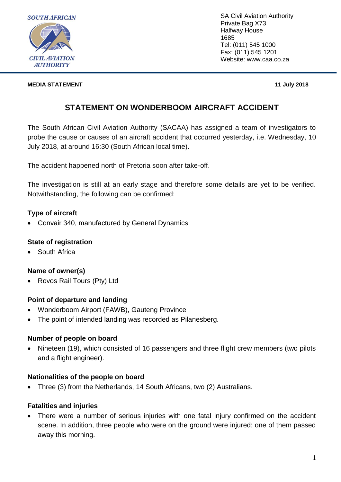

SA Civil Aviation Authority Private Bag X73 Halfway House 1685 Tel: (011) 545 1000 Fax: (011) 545 1201 Website: www.caa.co.za

#### **MEDIA STATEMENT** 11 July 2018

# **STATEMENT ON WONDERBOOM AIRCRAFT ACCIDENT**

The South African Civil Aviation Authority (SACAA) has assigned a team of investigators to probe the cause or causes of an aircraft accident that occurred yesterday, i.e. Wednesday, 10 July 2018, at around 16:30 (South African local time).

The accident happened north of Pretoria soon after take-off.

The investigation is still at an early stage and therefore some details are yet to be verified. Notwithstanding, the following can be confirmed:

# **Type of aircraft**

Convair 340, manufactured by General Dynamics

### **State of registration**

• South Africa

# **Name of owner(s)**

Rovos Rail Tours (Pty) Ltd

### **Point of departure and landing**

- Wonderboom Airport (FAWB), Gauteng Province
- The point of intended landing was recorded as Pilanesberg.

### **Number of people on board**

 Nineteen (19), which consisted of 16 passengers and three flight crew members (two pilots and a flight engineer).

### **Nationalities of the people on board**

Three (3) from the Netherlands, 14 South Africans, two (2) Australians.

### **Fatalities and injuries**

 There were a number of serious injuries with one fatal injury confirmed on the accident scene. In addition, three people who were on the ground were injured; one of them passed away this morning.